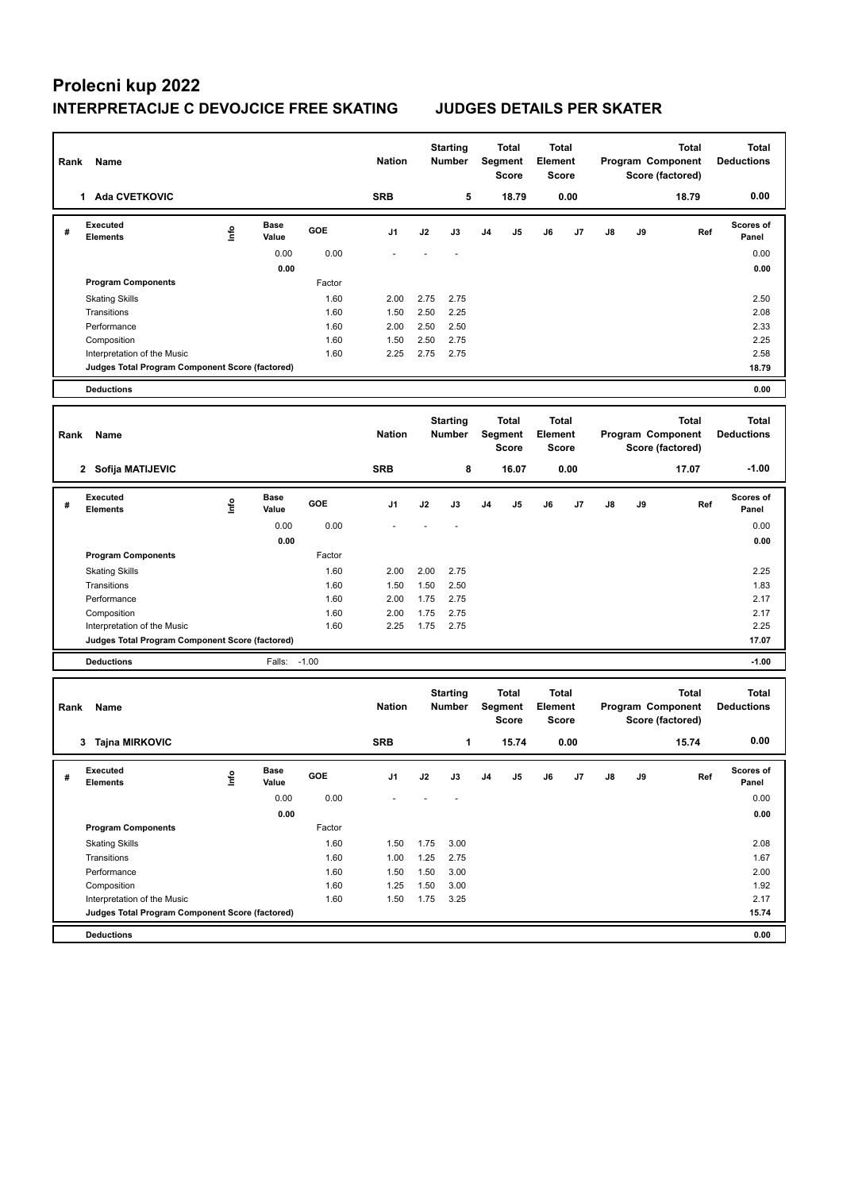## **Prolecni kup 2022 INTERPRETACIJE C DEVOJCICE FREE SKATING JUDGES DETAILS PER SKATER**

| Rank | Name                                            |      |                      |              | <b>Nation</b> |              | <b>Starting</b><br><b>Number</b> |    | <b>Total</b><br>Segment<br><b>Score</b> | Element | Total<br><b>Score</b>        |    |    | Total<br>Program Component<br>Score (factored)        | <b>Total</b><br><b>Deductions</b> |
|------|-------------------------------------------------|------|----------------------|--------------|---------------|--------------|----------------------------------|----|-----------------------------------------|---------|------------------------------|----|----|-------------------------------------------------------|-----------------------------------|
|      | 1 Ada CVETKOVIC                                 |      |                      |              | <b>SRB</b>    |              | 5                                |    | 18.79                                   |         | 0.00                         |    |    | 18.79                                                 | 0.00                              |
| #    | <b>Executed</b><br>Elements                     | lnfo | <b>Base</b><br>Value | GOE          | J1            | J2           | J3                               | J4 | J5                                      | J6      | J7                           | J8 | J9 | Ref                                                   | <b>Scores of</b><br>Panel         |
|      |                                                 |      | 0.00                 | 0.00         |               |              |                                  |    |                                         |         |                              |    |    |                                                       | 0.00                              |
|      |                                                 |      | 0.00                 |              |               |              |                                  |    |                                         |         |                              |    |    |                                                       | 0.00                              |
|      | <b>Program Components</b>                       |      |                      | Factor       |               |              |                                  |    |                                         |         |                              |    |    |                                                       |                                   |
|      | <b>Skating Skills</b>                           |      |                      | 1.60         | 2.00          | 2.75         | 2.75                             |    |                                         |         |                              |    |    |                                                       | 2.50                              |
|      | Transitions                                     |      |                      | 1.60         | 1.50          | 2.50         | 2.25                             |    |                                         |         |                              |    |    |                                                       | 2.08                              |
|      | Performance                                     |      |                      | 1.60         | 2.00          | 2.50         | 2.50                             |    |                                         |         |                              |    |    |                                                       | 2.33                              |
|      | Composition<br>Interpretation of the Music      |      |                      | 1.60<br>1.60 | 1.50<br>2.25  | 2.50<br>2.75 | 2.75<br>2.75                     |    |                                         |         |                              |    |    |                                                       | 2.25<br>2.58                      |
|      | Judges Total Program Component Score (factored) |      |                      |              |               |              |                                  |    |                                         |         |                              |    |    |                                                       | 18.79                             |
|      | <b>Deductions</b>                               |      |                      |              |               |              |                                  |    |                                         |         |                              |    |    |                                                       | 0.00                              |
|      |                                                 |      |                      |              |               |              |                                  |    |                                         |         |                              |    |    |                                                       |                                   |
| Rank | Name                                            |      |                      |              | <b>Nation</b> |              | <b>Starting</b><br>Number        |    | <b>Total</b><br>Segment<br><b>Score</b> | Element | Total<br><b>Score</b>        |    |    | <b>Total</b><br>Program Component<br>Score (factored) | <b>Total</b><br><b>Deductions</b> |
|      | 2 Sofija MATIJEVIC                              |      |                      |              | <b>SRB</b>    |              | 8                                |    | 16.07                                   |         | 0.00                         |    |    | 17.07                                                 | $-1.00$                           |
| #    | <b>Executed</b><br>Elements                     | ١nf٥ | Base<br>Value        | GOE          | J1            | J2           | J3                               | J4 | J5                                      | J6      | J7                           | J8 | J9 | Ref                                                   | <b>Scores of</b><br>Panel         |
|      |                                                 |      | 0.00                 | 0.00         |               |              |                                  |    |                                         |         |                              |    |    |                                                       | 0.00                              |
|      |                                                 |      | 0.00                 |              |               |              |                                  |    |                                         |         |                              |    |    |                                                       | 0.00                              |
|      | <b>Program Components</b>                       |      |                      | Factor       |               |              |                                  |    |                                         |         |                              |    |    |                                                       |                                   |
|      | <b>Skating Skills</b>                           |      |                      | 1.60         | 2.00          | 2.00         | 2.75                             |    |                                         |         |                              |    |    |                                                       | 2.25                              |
|      | Transitions                                     |      |                      | 1.60         | 1.50          | 1.50         | 2.50                             |    |                                         |         |                              |    |    |                                                       | 1.83                              |
|      | Performance                                     |      |                      | 1.60         | 2.00          | 1.75         | 2.75                             |    |                                         |         |                              |    |    |                                                       | 2.17                              |
|      | Composition<br>Interpretation of the Music      |      |                      | 1.60<br>1.60 | 2.00<br>2.25  | 1.75<br>1.75 | 2.75<br>2.75                     |    |                                         |         |                              |    |    |                                                       | 2.17<br>2.25                      |
|      | Judges Total Program Component Score (factored) |      |                      |              |               |              |                                  |    |                                         |         |                              |    |    |                                                       | 17.07                             |
|      | <b>Deductions</b>                               |      | Falls:               | $-1.00$      |               |              |                                  |    |                                         |         |                              |    |    |                                                       | $-1.00$                           |
|      |                                                 |      |                      |              |               |              |                                  |    |                                         |         |                              |    |    |                                                       |                                   |
| Rank | Name                                            |      |                      |              | <b>Nation</b> |              | <b>Starting</b><br><b>Number</b> |    | <b>Total</b><br>Segment<br><b>Score</b> | Element | <b>Total</b><br><b>Score</b> |    |    | Total<br>Program Component<br>Score (factored)        | <b>Total</b><br><b>Deductions</b> |
|      | 3 Tajna MIRKOVIC                                |      |                      |              | <b>SRB</b>    |              | 1                                |    | 15.74                                   |         | 0.00                         |    |    | 15.74                                                 | 0.00                              |
| #    | Executed<br><b>Elements</b>                     | lnfo | <b>Base</b><br>Value | GOE          | J1            | J2           | J3                               | J4 | J5                                      | J6      | J7                           | J8 | J9 | Ref                                                   | Scores of<br>Panel                |
|      |                                                 |      | 0.00                 | 0.00         |               |              |                                  |    |                                         |         |                              |    |    |                                                       | 0.00                              |
|      |                                                 |      | 0.00                 |              |               |              |                                  |    |                                         |         |                              |    |    |                                                       | 0.00                              |
|      | <b>Program Components</b>                       |      |                      | Factor       |               |              |                                  |    |                                         |         |                              |    |    |                                                       |                                   |
|      | <b>Skating Skills</b>                           |      |                      | 1.60         | 1.50          | 1.75         | 3.00                             |    |                                         |         |                              |    |    |                                                       | 2.08                              |
|      | Transitions                                     |      |                      | 1.60         | 1.00          | 1.25         | 2.75                             |    |                                         |         |                              |    |    |                                                       | 1.67                              |
|      | Performance                                     |      |                      | 1.60         | 1.50          | 1.50         | 3.00                             |    |                                         |         |                              |    |    |                                                       | 2.00                              |
|      | Composition<br>Interpretation of the Music      |      |                      | 1.60<br>1.60 | 1.25<br>1.50  | 1.50<br>1.75 | 3.00<br>3.25                     |    |                                         |         |                              |    |    |                                                       | 1.92<br>2.17                      |
|      | Judges Total Program Component Score (factored) |      |                      |              |               |              |                                  |    |                                         |         |                              |    |    |                                                       | 15.74                             |
|      | <b>Deductions</b>                               |      |                      |              |               |              |                                  |    |                                         |         |                              |    |    |                                                       | 0.00                              |
|      |                                                 |      |                      |              |               |              |                                  |    |                                         |         |                              |    |    |                                                       |                                   |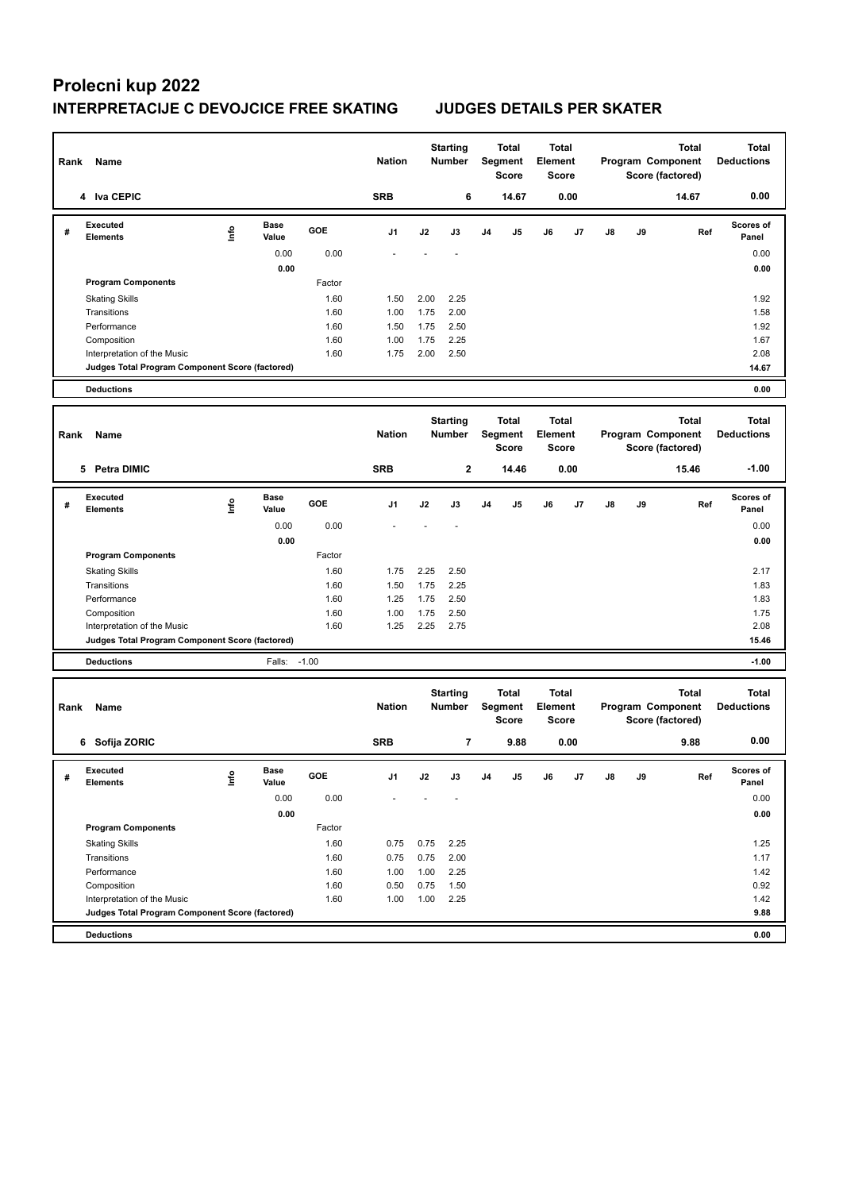## **Prolecni kup 2022 INTERPRETACIJE C DEVOJCICE FREE SKATING JUDGES DETAILS PER SKATER**

| Rank | Name                                                                           |      |                      |              | <b>Nation</b> |              | <b>Starting</b><br>Number        |    | <b>Total</b><br>Segment<br><b>Score</b> | Element | Total<br><b>Score</b>        |    |    | <b>Total</b><br>Program Component<br>Score (factored) | <b>Total</b><br><b>Deductions</b> |
|------|--------------------------------------------------------------------------------|------|----------------------|--------------|---------------|--------------|----------------------------------|----|-----------------------------------------|---------|------------------------------|----|----|-------------------------------------------------------|-----------------------------------|
|      | 4 Iva CEPIC                                                                    |      |                      |              | <b>SRB</b>    |              | 6                                |    | 14.67                                   |         | 0.00                         |    |    | 14.67                                                 | 0.00                              |
| #    | <b>Executed</b><br>Elements                                                    | lnfo | <b>Base</b><br>Value | GOE          | J1            | J2           | J3                               | J4 | J5                                      | J6      | J7                           | J8 | J9 | Ref                                                   | <b>Scores of</b><br>Panel         |
|      |                                                                                |      | 0.00                 | 0.00         |               |              |                                  |    |                                         |         |                              |    |    |                                                       | 0.00                              |
|      |                                                                                |      | 0.00                 |              |               |              |                                  |    |                                         |         |                              |    |    |                                                       | 0.00                              |
|      | <b>Program Components</b>                                                      |      |                      | Factor       |               |              |                                  |    |                                         |         |                              |    |    |                                                       |                                   |
|      | <b>Skating Skills</b>                                                          |      |                      | 1.60         | 1.50          | 2.00         | 2.25                             |    |                                         |         |                              |    |    |                                                       | 1.92                              |
|      | Transitions                                                                    |      |                      | 1.60         | 1.00          | 1.75         | 2.00                             |    |                                         |         |                              |    |    |                                                       | 1.58                              |
|      | Performance                                                                    |      |                      | 1.60<br>1.60 | 1.50          | 1.75         | 2.50                             |    |                                         |         |                              |    |    |                                                       | 1.92                              |
|      | Composition<br>Interpretation of the Music                                     |      |                      | 1.60         | 1.00<br>1.75  | 1.75<br>2.00 | 2.25<br>2.50                     |    |                                         |         |                              |    |    |                                                       | 1.67<br>2.08                      |
|      | Judges Total Program Component Score (factored)                                |      |                      |              |               |              |                                  |    |                                         |         |                              |    |    |                                                       | 14.67                             |
|      | <b>Deductions</b>                                                              |      |                      |              |               |              |                                  |    |                                         |         |                              |    |    |                                                       | 0.00                              |
|      |                                                                                |      |                      |              |               |              |                                  |    |                                         |         |                              |    |    |                                                       |                                   |
| Rank | Name                                                                           |      |                      |              | <b>Nation</b> |              | <b>Starting</b><br>Number        |    | <b>Total</b><br>Segment<br><b>Score</b> | Element | Total<br><b>Score</b>        |    |    | <b>Total</b><br>Program Component<br>Score (factored) | <b>Total</b><br><b>Deductions</b> |
|      | 5 Petra DIMIC                                                                  |      |                      |              | <b>SRB</b>    |              | $\bf{2}$                         |    | 14.46                                   |         | 0.00                         |    |    | 15.46                                                 | $-1.00$                           |
| #    | <b>Executed</b><br>Elements                                                    | ١nf٥ | <b>Base</b><br>Value | GOE          | J1            | J2           | J3                               | J4 | J5                                      | J6      | J7                           | J8 | J9 | Ref                                                   | Scores of<br>Panel                |
|      |                                                                                |      | 0.00                 | 0.00         |               |              |                                  |    |                                         |         |                              |    |    |                                                       | 0.00                              |
|      |                                                                                |      | 0.00                 |              |               |              |                                  |    |                                         |         |                              |    |    |                                                       | 0.00                              |
|      | <b>Program Components</b>                                                      |      |                      | Factor       |               |              |                                  |    |                                         |         |                              |    |    |                                                       |                                   |
|      | <b>Skating Skills</b>                                                          |      |                      | 1.60         | 1.75          | 2.25         | 2.50                             |    |                                         |         |                              |    |    |                                                       | 2.17                              |
|      | Transitions                                                                    |      |                      | 1.60         | 1.50          | 1.75         | 2.25                             |    |                                         |         |                              |    |    |                                                       | 1.83                              |
|      | Performance                                                                    |      |                      | 1.60         | 1.25          | 1.75         | 2.50                             |    |                                         |         |                              |    |    |                                                       | 1.83                              |
|      | Composition<br>Interpretation of the Music                                     |      |                      | 1.60<br>1.60 | 1.00<br>1.25  | 1.75<br>2.25 | 2.50<br>2.75                     |    |                                         |         |                              |    |    |                                                       | 1.75<br>2.08                      |
|      | Judges Total Program Component Score (factored)                                |      |                      |              |               |              |                                  |    |                                         |         |                              |    |    |                                                       | 15.46                             |
|      | <b>Deductions</b>                                                              |      | Falls:               | $-1.00$      |               |              |                                  |    |                                         |         |                              |    |    |                                                       | $-1.00$                           |
|      |                                                                                |      |                      |              |               |              |                                  |    |                                         |         |                              |    |    |                                                       |                                   |
| Rank | Name                                                                           |      |                      |              | <b>Nation</b> |              | <b>Starting</b><br><b>Number</b> |    | <b>Total</b><br>Segment<br><b>Score</b> | Element | <b>Total</b><br><b>Score</b> |    |    | <b>Total</b><br>Program Component<br>Score (factored) | <b>Total</b><br><b>Deductions</b> |
|      | 6 Sofija ZORIC                                                                 |      |                      |              | <b>SRB</b>    |              | 7                                |    | 9.88                                    |         | 0.00                         |    |    | 9.88                                                  | 0.00                              |
| #    | Executed<br><b>Elements</b>                                                    | lnfo | <b>Base</b><br>Value | GOE          | J1            | J2           | J3                               | J4 | J5                                      | J6      | J7                           | J8 | J9 | Ref                                                   | Scores of<br>Panel                |
|      |                                                                                |      | 0.00                 | 0.00         |               |              |                                  |    |                                         |         |                              |    |    |                                                       | 0.00                              |
|      |                                                                                |      | 0.00                 |              |               |              |                                  |    |                                         |         |                              |    |    |                                                       | 0.00                              |
|      | <b>Program Components</b>                                                      |      |                      | Factor       |               |              |                                  |    |                                         |         |                              |    |    |                                                       |                                   |
|      | <b>Skating Skills</b>                                                          |      |                      | 1.60         | 0.75          | 0.75         | 2.25                             |    |                                         |         |                              |    |    |                                                       | 1.25                              |
|      | Transitions                                                                    |      |                      | 1.60         | 0.75          | 0.75         | 2.00                             |    |                                         |         |                              |    |    |                                                       | 1.17                              |
|      | Performance                                                                    |      |                      | 1.60         | 1.00          | 1.00         | 2.25                             |    |                                         |         |                              |    |    |                                                       | 1.42                              |
|      | Composition                                                                    |      |                      | 1.60<br>1.60 | 0.50          | 0.75<br>1.00 | 1.50                             |    |                                         |         |                              |    |    |                                                       | 0.92                              |
|      | Interpretation of the Music<br>Judges Total Program Component Score (factored) |      |                      |              | 1.00          |              | 2.25                             |    |                                         |         |                              |    |    |                                                       | 1.42<br>9.88                      |
|      | <b>Deductions</b>                                                              |      |                      |              |               |              |                                  |    |                                         |         |                              |    |    |                                                       | 0.00                              |
|      |                                                                                |      |                      |              |               |              |                                  |    |                                         |         |                              |    |    |                                                       |                                   |